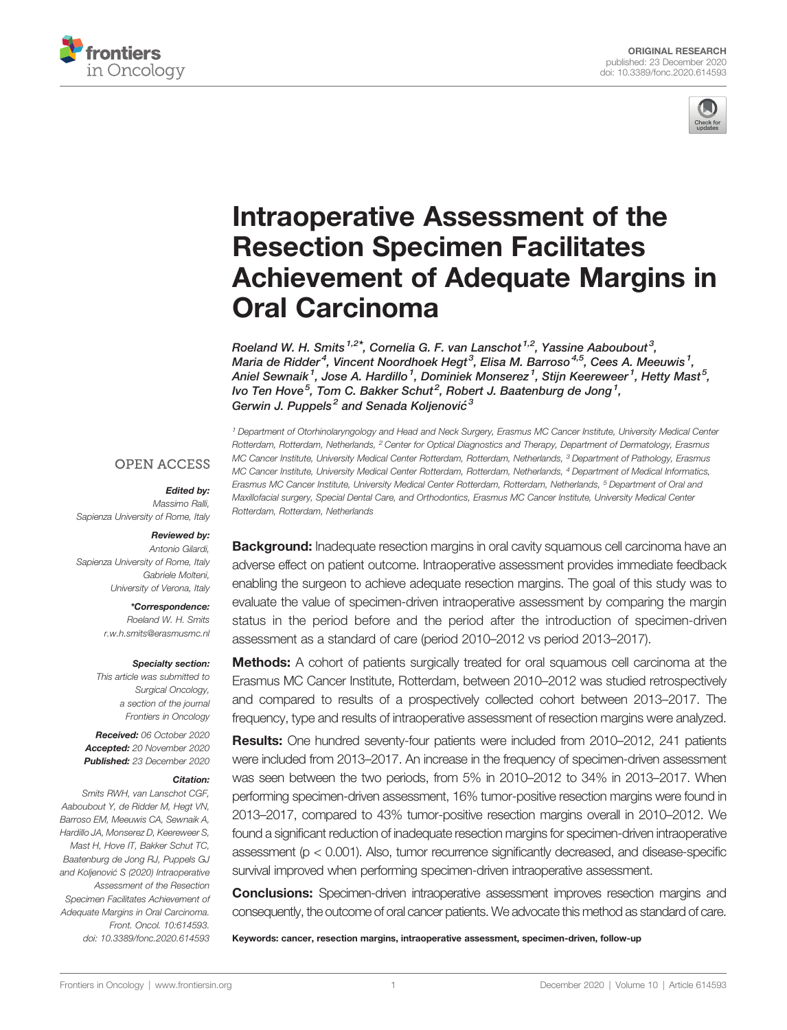



# [Intraoperative Assessment of the](https://www.frontiersin.org/articles/10.3389/fonc.2020.614593/full) [Resection Specimen Facilitates](https://www.frontiersin.org/articles/10.3389/fonc.2020.614593/full) [Achievement of Adequate Margins in](https://www.frontiersin.org/articles/10.3389/fonc.2020.614593/full) [Oral Carcinoma](https://www.frontiersin.org/articles/10.3389/fonc.2020.614593/full)

Roeland W. H. Smits  $^{1,2}$ \*, Cornelia G. F. van Lanschot  $^{1,2}$ , Yassine Aaboubout  $^3$ , Maria de Ridder<sup>4</sup>, Vincent Noordhoek Hegt<sup>3</sup>, Elisa M. Barroso<sup>4,5</sup>, Cees A. Meeuwis<sup>1</sup>, Aniel Sewnaik<sup>1</sup>, Jose A. Hardillo<sup>1</sup>, Dominiek Monserez<sup>1</sup>, Stijn Keereweer<sup>1</sup>, Hetty Mast<sup>5</sup>, lvo Ten Hove $^5$ , Tom C. Bakker Schut $^2$ , Robert J. Baatenburg de Jong $^1$ , Gerwin J. Puppels $^2$  and Senada Koljenović $^3$ 

<sup>1</sup> Department of Otorhinolaryngology and Head and Neck Surgery, Erasmus MC Cancer Institute, University Medical Center Rotterdam, Rotterdam, Netherlands, <sup>2</sup> Center for Optical Diagnostics and Therapy, Department of Dermatology, Erasmus MC Cancer Institute, University Medical Center Rotterdam, Rotterdam, Netherlands, <sup>3</sup> Department of Pathology, Erasmus MC Cancer Institute, University Medical Center Rotterdam, Rotterdam, Netherlands, <sup>4</sup> Department of Medical Informatics, Erasmus MC Cancer Institute, University Medical Center Rotterdam, Rotterdam, Netherlands, <sup>5</sup> Department of Oral and Maxillofacial surgery, Special Dental Care, and Orthodontics, Erasmus MC Cancer Institute, University Medical Center Rotterdam, Rotterdam, Netherlands

## **OPEN ACCESS**

#### Edited by:

Massimo Ralli, Sapienza University of Rome, Italy

#### Reviewed by:

Antonio Gilardi, Sapienza University of Rome, Italy Gabriele Molteni, University of Verona, Italy

> \*Correspondence: Roeland W. H. Smits

[r.w.h.smits@erasmusmc.nl](mailto:r.w.h.smits@erasmusmc.nl)

#### Specialty section:

This article was submitted to Surgical Oncology, a section of the journal Frontiers in Oncology

Received: 06 October 2020 Accepted: 20 November 2020 Published: 23 December 2020

#### Citation:

Smits RWH, van Lanschot CGF, Aaboubout Y, de Ridder M, Hegt VN, Barroso EM, Meeuwis CA, Sewnaik A, Hardillo JA, Monserez D, Keereweer S, Mast H, Hove IT, Bakker Schut TC, Baatenburg de Jong RJ, Puppels GJ and Koljenović S (2020) Intraoperative Assessment of the Resection Specimen Facilitates Achievement of Adequate Margins in Oral Carcinoma. Front. Oncol. 10:614593. [doi: 10.3389/fonc.2020.614593](https://doi.org/10.3389/fonc.2020.614593)

**Background:** Inadequate resection margins in oral cavity squamous cell carcinoma have an adverse effect on patient outcome. Intraoperative assessment provides immediate feedback enabling the surgeon to achieve adequate resection margins. The goal of this study was to evaluate the value of specimen-driven intraoperative assessment by comparing the margin status in the period before and the period after the introduction of specimen-driven assessment as a standard of care (period 2010–2012 vs period 2013–2017).

**Methods:** A cohort of patients surgically treated for oral squamous cell carcinoma at the Erasmus MC Cancer Institute, Rotterdam, between 2010–2012 was studied retrospectively and compared to results of a prospectively collected cohort between 2013–2017. The frequency, type and results of intraoperative assessment of resection margins were analyzed.

Results: One hundred seventy-four patients were included from 2010–2012, 241 patients were included from 2013–2017. An increase in the frequency of specimen-driven assessment was seen between the two periods, from 5% in 2010–2012 to 34% in 2013–2017. When performing specimen-driven assessment, 16% tumor-positive resection margins were found in 2013–2017, compared to 43% tumor-positive resection margins overall in 2010–2012. We found a significant reduction of inadequate resection margins for specimen-driven intraoperative assessment (p < 0.001). Also, tumor recurrence significantly decreased, and disease-specific survival improved when performing specimen-driven intraoperative assessment.

**Conclusions:** Specimen-driven intraoperative assessment improves resection margins and consequently, the outcome of oral cancer patients. We advocate this method as standard of care.

Keywords: cancer, resection margins, intraoperative assessment, specimen-driven, follow-up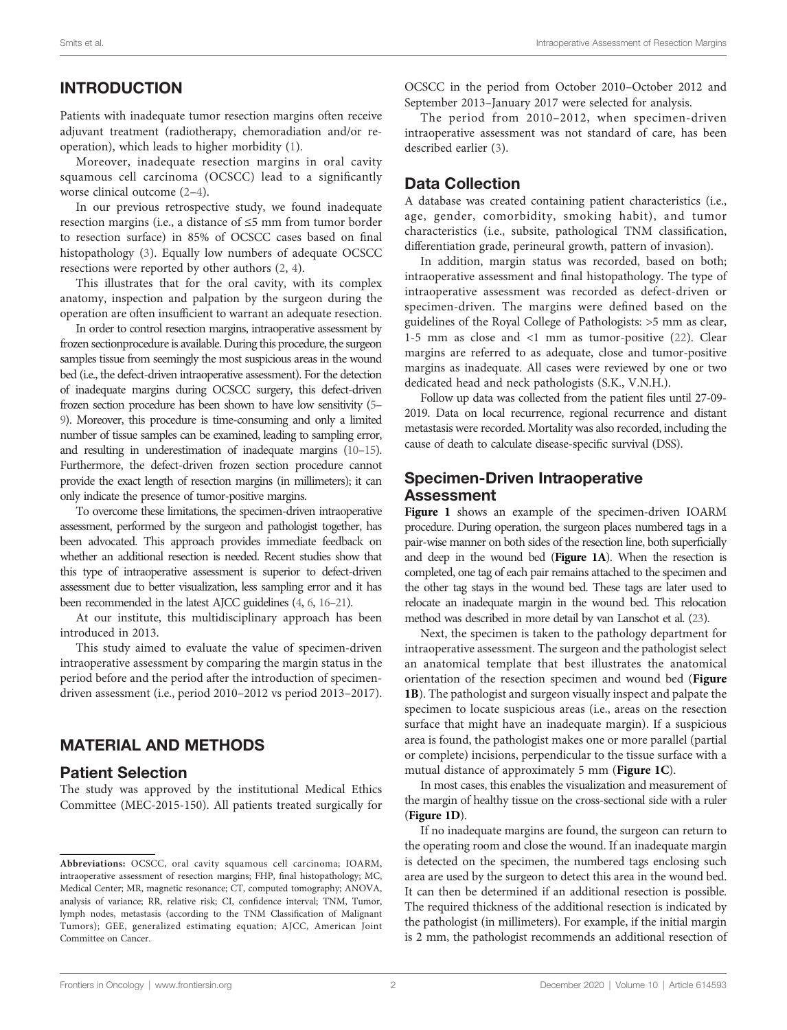# INTRODUCTION

Patients with inadequate tumor resection margins often receive adjuvant treatment (radiotherapy, chemoradiation and/or reoperation), which leads to higher morbidity [\(1\)](#page-7-0).

Moreover, inadequate resection margins in oral cavity squamous cell carcinoma (OCSCC) lead to a significantly worse clinical outcome [\(2](#page-7-0)–[4](#page-7-0)).

In our previous retrospective study, we found inadequate resection margins (i.e., a distance of ≤5 mm from tumor border to resection surface) in 85% of OCSCC cases based on final histopathology ([3](#page-7-0)). Equally low numbers of adequate OCSCC resections were reported by other authors [\(2,](#page-7-0) [4](#page-7-0)).

This illustrates that for the oral cavity, with its complex anatomy, inspection and palpation by the surgeon during the operation are often insufficient to warrant an adequate resection.

In order to control resection margins, intraoperative assessment by frozen sectionprocedure is available. During this procedure, the surgeon samples tissue from seemingly the most suspicious areas in the wound bed (i.e., the defect-driven intraoperative assessment). For the detection of inadequate margins during OCSCC surgery, this defect-driven frozen section procedure has been shown to have low sensitivity [\(5](#page-7-0)– [9](#page-7-0)). Moreover, this procedure is time-consuming and only a limited number of tissue samples can be examined, leading to sampling error, and resulting in underestimation of inadequate margins [\(10](#page-7-0)–[15](#page-7-0)). Furthermore, the defect-driven frozen section procedure cannot provide the exact length of resection margins (in millimeters); it can only indicate the presence of tumor-positive margins.

To overcome these limitations, the specimen-driven intraoperative assessment, performed by the surgeon and pathologist together, has been advocated. This approach provides immediate feedback on whether an additional resection is needed. Recent studies show that this type of intraoperative assessment is superior to defect-driven assessment due to better visualization, less sampling error and it has been recommended in the latest AJCC guidelines [\(4](#page-7-0), [6,](#page-7-0) [16](#page-7-0)–[21](#page-8-0)).

At our institute, this multidisciplinary approach has been introduced in 2013.

This study aimed to evaluate the value of specimen-driven intraoperative assessment by comparing the margin status in the period before and the period after the introduction of specimendriven assessment (i.e., period 2010–2012 vs period 2013–2017).

## MATERIAL AND METHODS

### Patient Selection

The study was approved by the institutional Medical Ethics Committee (MEC-2015-150). All patients treated surgically for

OCSCC in the period from October 2010–October 2012 and September 2013–January 2017 were selected for analysis.

The period from 2010–2012, when specimen-driven intraoperative assessment was not standard of care, has been described earlier ([3](#page-7-0)).

## Data Collection

A database was created containing patient characteristics (i.e., age, gender, comorbidity, smoking habit), and tumor characteristics (i.e., subsite, pathological TNM classification, differentiation grade, perineural growth, pattern of invasion).

In addition, margin status was recorded, based on both; intraoperative assessment and final histopathology. The type of intraoperative assessment was recorded as defect-driven or specimen-driven. The margins were defined based on the guidelines of the Royal College of Pathologists: >5 mm as clear, 1-5 mm as close and <1 mm as tumor-positive [\(22\)](#page-8-0). Clear margins are referred to as adequate, close and tumor-positive margins as inadequate. All cases were reviewed by one or two dedicated head and neck pathologists (S.K., V.N.H.).

Follow up data was collected from the patient files until 27-09- 2019. Data on local recurrence, regional recurrence and distant metastasis were recorded. Mortality was also recorded, including the cause of death to calculate disease-specific survival (DSS).

## Specimen-Driven Intraoperative Assessment

[Figure 1](#page-2-0) shows an example of the specimen-driven IOARM procedure. During operation, the surgeon places numbered tags in a pair-wise manner on both sides of the resection line, both superficially and deep in the wound bed ([Figure 1A](#page-2-0)). When the resection is completed, one tag of each pair remains attached to the specimen and the other tag stays in the wound bed. These tags are later used to relocate an inadequate margin in the wound bed. This relocation method was described in more detail by van Lanschot et al. [\(23](#page-8-0)).

Next, the specimen is taken to the pathology department for intraoperative assessment. The surgeon and the pathologist select an anatomical template that best illustrates the anatomical orientation of the resection specimen and wound bed ([Figure](#page-2-0) [1B](#page-2-0)). The pathologist and surgeon visually inspect and palpate the specimen to locate suspicious areas (i.e., areas on the resection surface that might have an inadequate margin). If a suspicious area is found, the pathologist makes one or more parallel (partial or complete) incisions, perpendicular to the tissue surface with a mutual distance of approximately 5 mm ([Figure 1C](#page-2-0)).

In most cases, this enables the visualization and measurement of the margin of healthy tissue on the cross-sectional side with a ruler ([Figure 1D](#page-2-0)).

If no inadequate margins are found, the surgeon can return to the operating room and close the wound. If an inadequate margin is detected on the specimen, the numbered tags enclosing such area are used by the surgeon to detect this area in the wound bed. It can then be determined if an additional resection is possible. The required thickness of the additional resection is indicated by the pathologist (in millimeters). For example, if the initial margin is 2 mm, the pathologist recommends an additional resection of

Abbreviations: OCSCC, oral cavity squamous cell carcinoma; IOARM, intraoperative assessment of resection margins; FHP, final histopathology; MC, Medical Center; MR, magnetic resonance; CT, computed tomography; ANOVA, analysis of variance; RR, relative risk; CI, confidence interval; TNM, Tumor, lymph nodes, metastasis (according to the TNM Classification of Malignant Tumors); GEE, generalized estimating equation; AJCC, American Joint Committee on Cancer.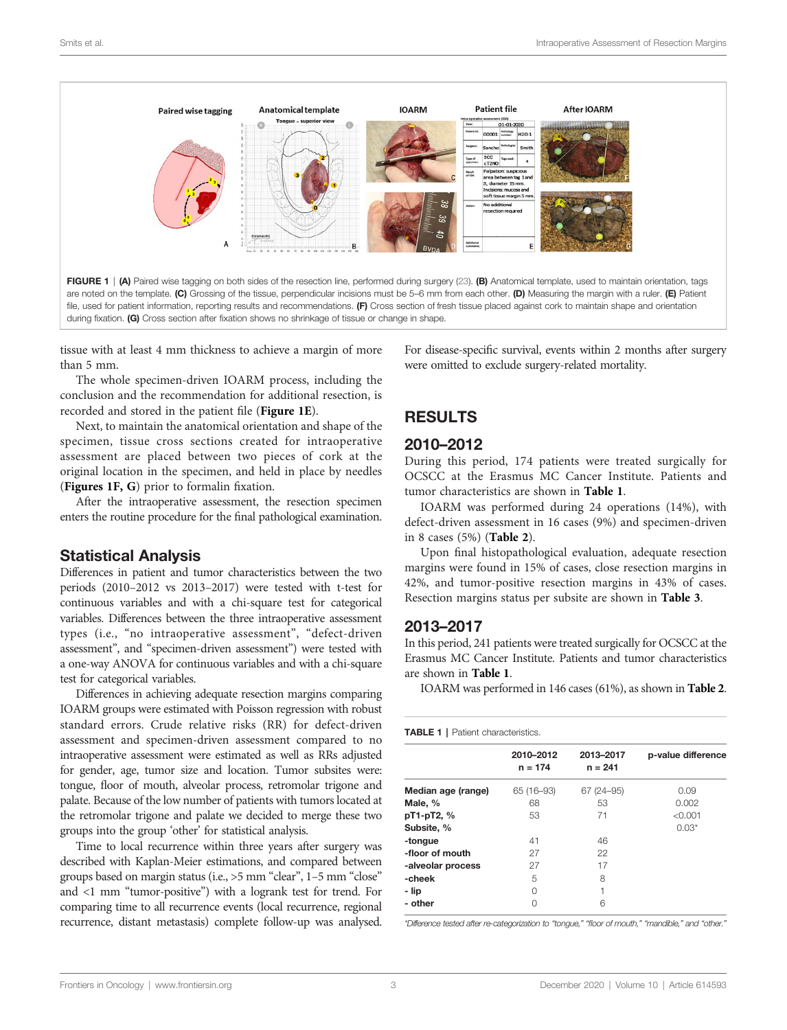<span id="page-2-0"></span>

tissue with at least 4 mm thickness to achieve a margin of more than 5 mm.

The whole specimen-driven IOARM process, including the conclusion and the recommendation for additional resection, is recorded and stored in the patient file (Figure 1E).

Next, to maintain the anatomical orientation and shape of the specimen, tissue cross sections created for intraoperative assessment are placed between two pieces of cork at the original location in the specimen, and held in place by needles (Figures 1F, G) prior to formalin fixation.

After the intraoperative assessment, the resection specimen enters the routine procedure for the final pathological examination.

## Statistical Analysis

Differences in patient and tumor characteristics between the two periods (2010–2012 vs 2013–2017) were tested with t-test for continuous variables and with a chi-square test for categorical variables. Differences between the three intraoperative assessment types (i.e., "no intraoperative assessment", "defect-driven assessment", and "specimen-driven assessment") were tested with a one-way ANOVA for continuous variables and with a chi-square test for categorical variables.

Differences in achieving adequate resection margins comparing IOARM groups were estimated with Poisson regression with robust standard errors. Crude relative risks (RR) for defect-driven assessment and specimen-driven assessment compared to no intraoperative assessment were estimated as well as RRs adjusted for gender, age, tumor size and location. Tumor subsites were: tongue, floor of mouth, alveolar process, retromolar trigone and palate. Because of the low number of patients with tumors located at the retromolar trigone and palate we decided to merge these two groups into the group 'other' for statistical analysis.

Time to local recurrence within three years after surgery was described with Kaplan-Meier estimations, and compared between groups based on margin status (i.e., >5 mm "clear", 1–5 mm "close" and <1 mm "tumor-positive") with a logrank test for trend. For comparing time to all recurrence events (local recurrence, regional recurrence, distant metastasis) complete follow-up was analysed.

For disease-specific survival, events within 2 months after surgery were omitted to exclude surgery-related mortality.

## RESULTS

#### 2010–2012

During this period, 174 patients were treated surgically for OCSCC at the Erasmus MC Cancer Institute. Patients and tumor characteristics are shown in Table 1.

IOARM was performed during 24 operations (14%), with defect-driven assessment in 16 cases (9%) and specimen-driven in 8 cases (5%) ([Table 2](#page-3-0)).

Upon final histopathological evaluation, adequate resection margins were found in 15% of cases, close resection margins in 42%, and tumor-positive resection margins in 43% of cases. Resection margins status per subsite are shown in [Table 3](#page-3-0).

## 2013–2017

In this period, 241 patients were treated surgically for OCSCC at the Erasmus MC Cancer Institute. Patients and tumor characteristics are shown in Table 1.

IOARM was performed in 146 cases (61%), as shown in [Table 2](#page-3-0).

|                    | 2010-2012<br>$n = 174$ | 2013-2017<br>$n = 241$ | p-value difference |
|--------------------|------------------------|------------------------|--------------------|
| Median age (range) | 65 (16-93)             | 67 (24 - 95)           | 0.09               |
| Male, %            | 68                     | 53                     | 0.002              |
| pT1-pT2, %         | 53                     | 71                     | < 0.001            |
| Subsite, %         |                        |                        | $0.03*$            |
| -tongue            | 41                     | 46                     |                    |
| -floor of mouth    | 27                     | 22                     |                    |
| -alveolar process  | 27                     | 17                     |                    |
| -cheek             | 5                      | 8                      |                    |
| - lip              | Ω                      | 1                      |                    |
| - other            | 0                      | 6                      |                    |

\*Difference tested after re-categorization to "tongue," "floor of mouth," "mandible," and "other."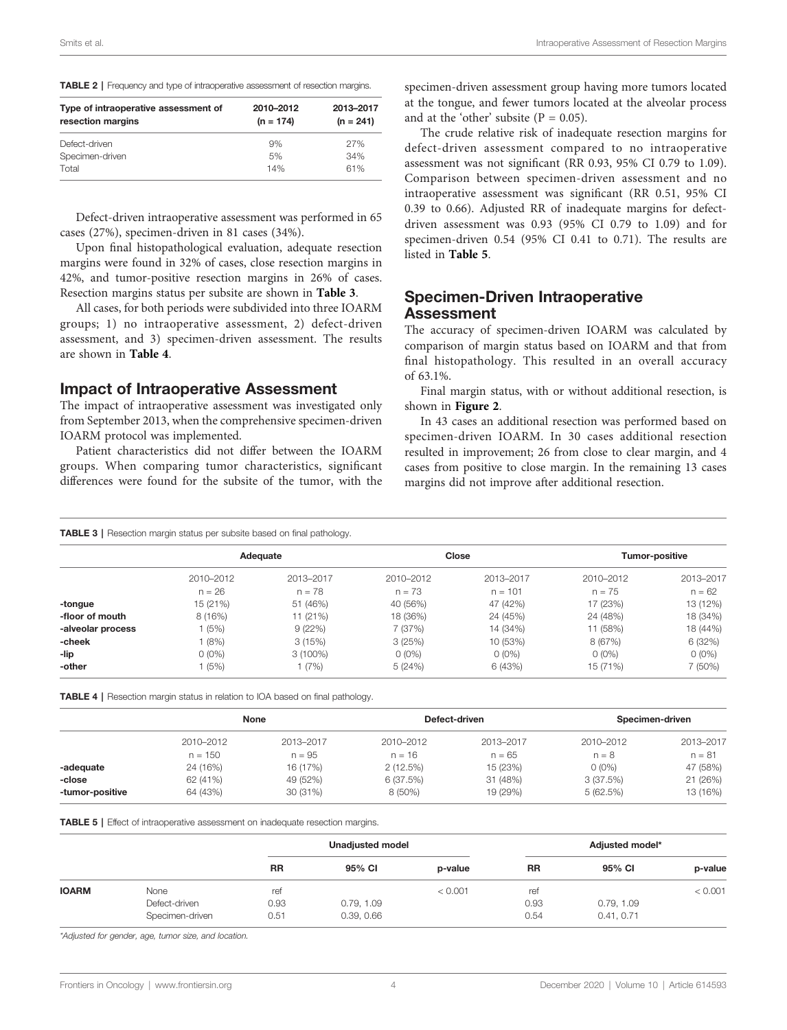<span id="page-3-0"></span>

| <b>TABLE 2</b>   Frequency and type of intraoperative assessment of resection margins. |
|----------------------------------------------------------------------------------------|
|                                                                                        |

| Type of intraoperative assessment of<br>resection margins | 2010-2012<br>$(n = 174)$ | 2013-2017<br>$(n = 241)$ |
|-----------------------------------------------------------|--------------------------|--------------------------|
| Defect-driven                                             | 9%                       | 27%                      |
| Specimen-driven                                           | 5%                       | 34%                      |
| Total                                                     | 14%                      | 61%                      |

Defect-driven intraoperative assessment was performed in 65 cases (27%), specimen-driven in 81 cases (34%).

Upon final histopathological evaluation, adequate resection margins were found in 32% of cases, close resection margins in 42%, and tumor-positive resection margins in 26% of cases. Resection margins status per subsite are shown in Table 3.

All cases, for both periods were subdivided into three IOARM groups; 1) no intraoperative assessment, 2) defect-driven assessment, and 3) specimen-driven assessment. The results are shown in Table 4.

#### Impact of Intraoperative Assessment

The impact of intraoperative assessment was investigated only from September 2013, when the comprehensive specimen-driven IOARM protocol was implemented.

Patient characteristics did not differ between the IOARM groups. When comparing tumor characteristics, significant differences were found for the subsite of the tumor, with the

specimen-driven assessment group having more tumors located at the tongue, and fewer tumors located at the alveolar process and at the 'other' subsite  $(P = 0.05)$ .

The crude relative risk of inadequate resection margins for defect-driven assessment compared to no intraoperative assessment was not significant (RR 0.93, 95% CI 0.79 to 1.09). Comparison between specimen-driven assessment and no intraoperative assessment was significant (RR 0.51, 95% CI 0.39 to 0.66). Adjusted RR of inadequate margins for defectdriven assessment was 0.93 (95% CI 0.79 to 1.09) and for specimen-driven 0.54 (95% CI 0.41 to 0.71). The results are listed in Table 5.

#### Specimen-Driven Intraoperative Assessment

The accuracy of specimen-driven IOARM was calculated by comparison of margin status based on IOARM and that from final histopathology. This resulted in an overall accuracy of 63.1%.

Final margin status, with or without additional resection, is shown in [Figure 2](#page-4-0).

In 43 cases an additional resection was performed based on specimen-driven IOARM. In 30 cases additional resection resulted in improvement; 26 from close to clear margin, and 4 cases from positive to close margin. In the remaining 13 cases margins did not improve after additional resection.

|  | <b>TABLE 3</b>   Resection margin status per subsite based on final pathology. |  |  |  |  |  |  |  |  |  |
|--|--------------------------------------------------------------------------------|--|--|--|--|--|--|--|--|--|
|--|--------------------------------------------------------------------------------|--|--|--|--|--|--|--|--|--|

|                   | Adequate  |            |           | <b>Close</b> | Tumor-positive |           |  |
|-------------------|-----------|------------|-----------|--------------|----------------|-----------|--|
|                   | 2010-2012 | 2013-2017  | 2010-2012 | 2013-2017    | 2010-2012      | 2013-2017 |  |
|                   | $n = 26$  | $n = 78$   | $n = 73$  | $n = 101$    | $n = 75$       | $n = 62$  |  |
| -tongue           | 15 (21%)  | 51 (46%)   | 40 (56%)  | 47 (42%)     | 17 (23%)       | 13 (12%)  |  |
| -floor of mouth   | 8(16%)    | 11 (21%)   | 18 (36%)  | 24 (45%)     | 24 (48%)       | 18 (34%)  |  |
| -alveolar process | 1(5%)     | 9(22%)     | 7 (37%)   | 14 (34%)     | 11 (58%)       | 18 (44%)  |  |
| -cheek            | 1(8%)     | 3(15%)     | 3(25%)    | 10 (53%)     | 8 (67%)        | 6(32%)    |  |
| -lip              | $0(0\%)$  | $3(100\%)$ | $0(0\%)$  | $0(0\%)$     | $0(0\%)$       | $0(0\%)$  |  |
| -other            | 1 (5%)    | 1(7%)      | 5(24%)    | 6 (43%)      | 15 (71%)       | 7 (50%)   |  |

TABLE 4 | Resection margin status in relation to IOA based on final pathology.

|                 | None      |           |           | Defect-driven | Specimen-driven |           |  |
|-----------------|-----------|-----------|-----------|---------------|-----------------|-----------|--|
|                 | 2010-2012 | 2013-2017 | 2010-2012 | 2013-2017     | 2010-2012       | 2013-2017 |  |
|                 | $n = 150$ | $n = 95$  | $n = 16$  | $n = 65$      | $n = 8$         | $n = 81$  |  |
| -adequate       | 24 (16%)  | 16 (17%)  | 2(12.5%)  | 15 (23%)      | $0(0\%)$        | 47 (58%)  |  |
| -close          | 62 (41%)  | 49 (52%)  | 6(37.5%)  | 31 (48%)      | 3(37.5%)        | 21 (26%)  |  |
| -tumor-positive | 64 (43%)  | 30 (31%)  | 8 (50%)   | 19 (29%)      | 5(62.5%)        | 13 (16%)  |  |

TABLE 5 | Effect of intraoperative assessment on inadequate resection margins.

|              |                 | <b>Unadjusted model</b> |            |         | Adjusted model* |            |         |
|--------------|-----------------|-------------------------|------------|---------|-----------------|------------|---------|
|              |                 | <b>RR</b>               | 95% CI     | p-value | <b>RR</b>       | 95% CI     | p-value |
| <b>IOARM</b> | None            | ret                     |            | < 0.001 | ret             |            | < 0.001 |
|              | Defect-driven   | 0.93                    | 0.79, 1.09 |         | 0.93            | 0.79, 1.09 |         |
|              | Specimen-driven | 0.51                    | 0.39, 0.66 |         | 0.54            | 0.41, 0.71 |         |

\*Adjusted for gender, age, tumor size, and location.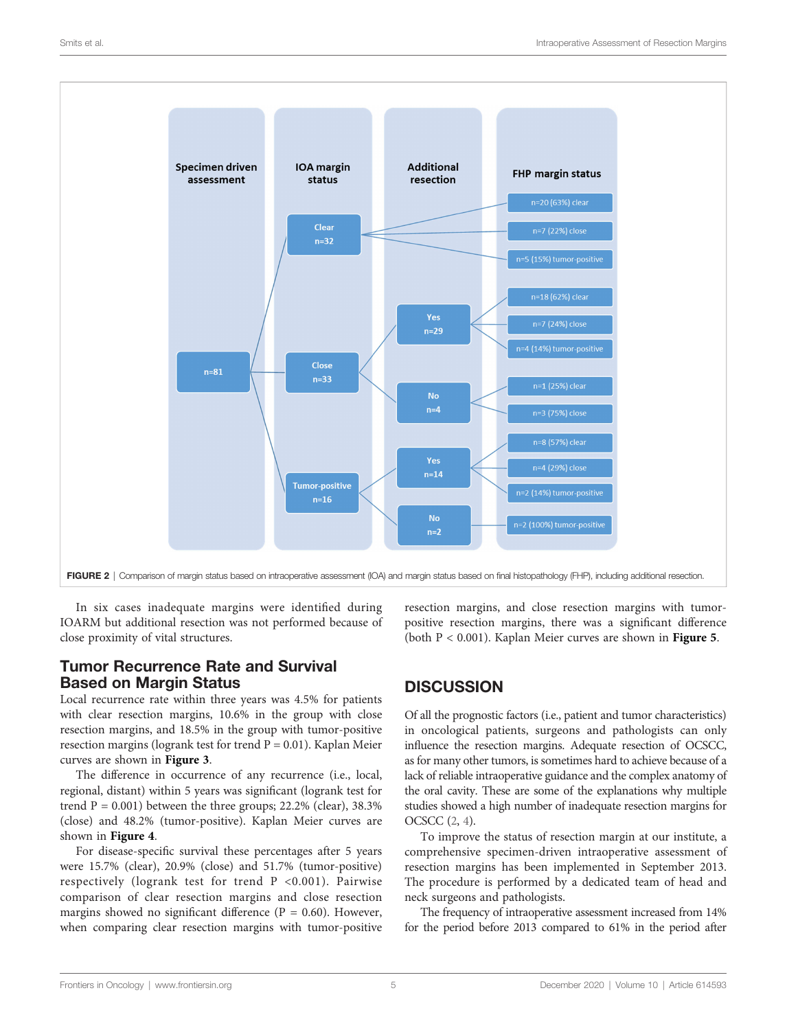<span id="page-4-0"></span>

In six cases inadequate margins were identified during IOARM but additional resection was not performed because of close proximity of vital structures.

resection margins, and close resection margins with tumorpositive resection margins, there was a significant difference (both P < 0.001). Kaplan Meier curves are shown in [Figure 5](#page-6-0).

## Tumor Recurrence Rate and Survival Based on Margin Status

Local recurrence rate within three years was 4.5% for patients with clear resection margins, 10.6% in the group with close resection margins, and 18.5% in the group with tumor-positive resection margins (logrank test for trend  $P = 0.01$ ). Kaplan Meier curves are shown in [Figure 3](#page-5-0).

The difference in occurrence of any recurrence (i.e., local, regional, distant) within 5 years was significant (logrank test for trend  $P = 0.001$ ) between the three groups; 22.2% (clear), 38.3% (close) and 48.2% (tumor-positive). Kaplan Meier curves are shown in [Figure 4](#page-5-0).

For disease-specific survival these percentages after 5 years were 15.7% (clear), 20.9% (close) and 51.7% (tumor-positive) respectively (logrank test for trend P <0.001). Pairwise comparison of clear resection margins and close resection margins showed no significant difference ( $P = 0.60$ ). However, when comparing clear resection margins with tumor-positive

# **DISCUSSION**

Of all the prognostic factors (i.e., patient and tumor characteristics) in oncological patients, surgeons and pathologists can only influence the resection margins. Adequate resection of OCSCC, as for many other tumors, is sometimes hard to achieve because of a lack of reliable intraoperative guidance and the complex anatomy of the oral cavity. These are some of the explanations why multiple studies showed a high number of inadequate resection margins for OCSCC [\(2,](#page-7-0) [4\)](#page-7-0).

To improve the status of resection margin at our institute, a comprehensive specimen-driven intraoperative assessment of resection margins has been implemented in September 2013. The procedure is performed by a dedicated team of head and neck surgeons and pathologists.

The frequency of intraoperative assessment increased from 14% for the period before 2013 compared to 61% in the period after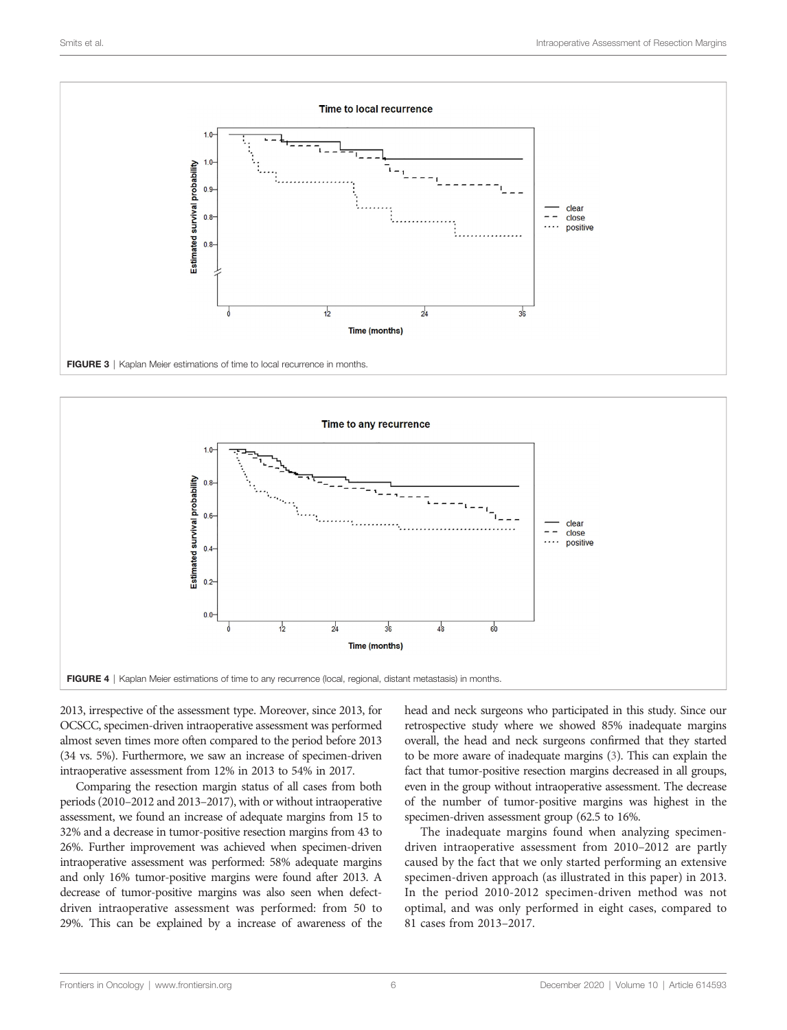<span id="page-5-0"></span>





2013, irrespective of the assessment type. Moreover, since 2013, for OCSCC, specimen-driven intraoperative assessment was performed almost seven times more often compared to the period before 2013 (34 vs. 5%). Furthermore, we saw an increase of specimen-driven intraoperative assessment from 12% in 2013 to 54% in 2017.

Comparing the resection margin status of all cases from both periods (2010–2012 and 2013–2017), with or without intraoperative assessment, we found an increase of adequate margins from 15 to 32% and a decrease in tumor-positive resection margins from 43 to 26%. Further improvement was achieved when specimen-driven intraoperative assessment was performed: 58% adequate margins and only 16% tumor-positive margins were found after 2013. A decrease of tumor-positive margins was also seen when defectdriven intraoperative assessment was performed: from 50 to 29%. This can be explained by a increase of awareness of the head and neck surgeons who participated in this study. Since our retrospective study where we showed 85% inadequate margins overall, the head and neck surgeons confirmed that they started to be more aware of inadequate margins [\(3\)](#page-7-0). This can explain the fact that tumor-positive resection margins decreased in all groups, even in the group without intraoperative assessment. The decrease of the number of tumor-positive margins was highest in the specimen-driven assessment group (62.5 to 16%.

The inadequate margins found when analyzing specimendriven intraoperative assessment from 2010–2012 are partly caused by the fact that we only started performing an extensive specimen-driven approach (as illustrated in this paper) in 2013. In the period 2010-2012 specimen-driven method was not optimal, and was only performed in eight cases, compared to 81 cases from 2013–2017.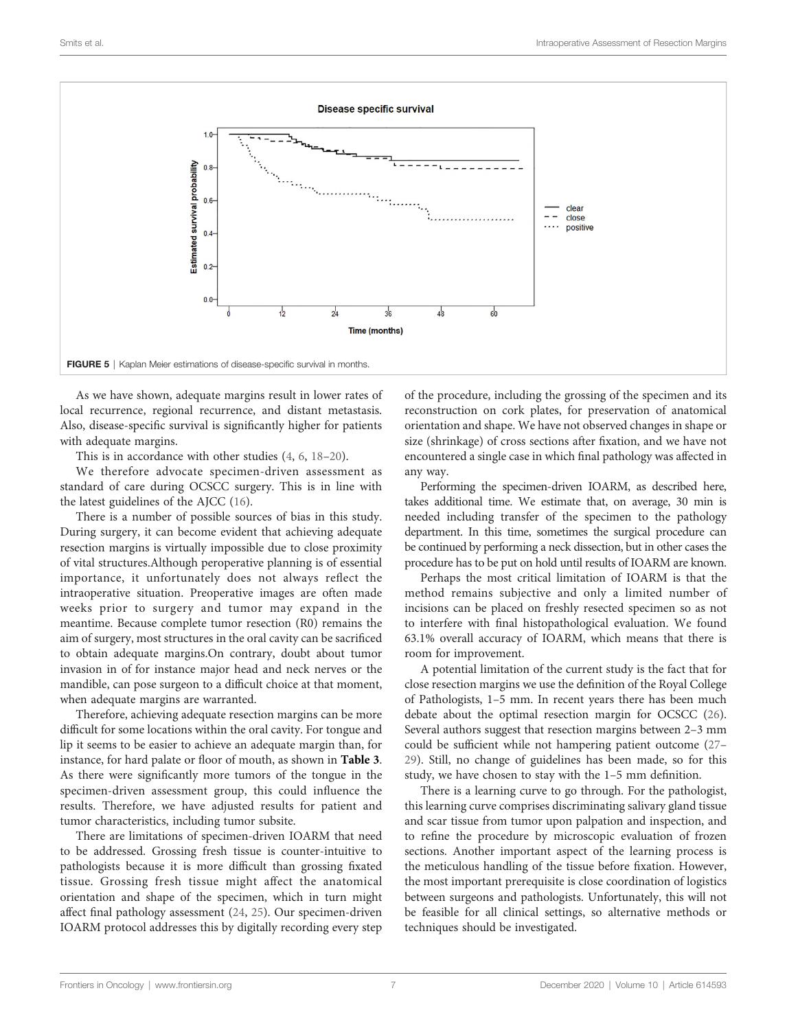<span id="page-6-0"></span>

As we have shown, adequate margins result in lower rates of local recurrence, regional recurrence, and distant metastasis. Also, disease-specific survival is significantly higher for patients with adequate margins.

This is in accordance with other studies [\(4,](#page-7-0) [6](#page-7-0), [18](#page-8-0)–[20](#page-8-0)).

We therefore advocate specimen-driven assessment as standard of care during OCSCC surgery. This is in line with the latest guidelines of the AJCC ([16\)](#page-7-0).

There is a number of possible sources of bias in this study. During surgery, it can become evident that achieving adequate resection margins is virtually impossible due to close proximity of vital structures.Although peroperative planning is of essential importance, it unfortunately does not always reflect the intraoperative situation. Preoperative images are often made weeks prior to surgery and tumor may expand in the meantime. Because complete tumor resection (R0) remains the aim of surgery, most structures in the oral cavity can be sacrificed to obtain adequate margins.On contrary, doubt about tumor invasion in of for instance major head and neck nerves or the mandible, can pose surgeon to a difficult choice at that moment, when adequate margins are warranted.

Therefore, achieving adequate resection margins can be more difficult for some locations within the oral cavity. For tongue and lip it seems to be easier to achieve an adequate margin than, for instance, for hard palate or floor of mouth, as shown in [Table 3](#page-3-0). As there were significantly more tumors of the tongue in the specimen-driven assessment group, this could influence the results. Therefore, we have adjusted results for patient and tumor characteristics, including tumor subsite.

There are limitations of specimen-driven IOARM that need to be addressed. Grossing fresh tissue is counter-intuitive to pathologists because it is more difficult than grossing fixated tissue. Grossing fresh tissue might affect the anatomical orientation and shape of the specimen, which in turn might affect final pathology assessment [\(24](#page-8-0), [25](#page-8-0)). Our specimen-driven IOARM protocol addresses this by digitally recording every step of the procedure, including the grossing of the specimen and its reconstruction on cork plates, for preservation of anatomical orientation and shape. We have not observed changes in shape or size (shrinkage) of cross sections after fixation, and we have not encountered a single case in which final pathology was affected in any way.

Performing the specimen-driven IOARM, as described here, takes additional time. We estimate that, on average, 30 min is needed including transfer of the specimen to the pathology department. In this time, sometimes the surgical procedure can be continued by performing a neck dissection, but in other cases the procedure has to be put on hold until results of IOARM are known.

Perhaps the most critical limitation of IOARM is that the method remains subjective and only a limited number of incisions can be placed on freshly resected specimen so as not to interfere with final histopathological evaluation. We found 63.1% overall accuracy of IOARM, which means that there is room for improvement.

A potential limitation of the current study is the fact that for close resection margins we use the definition of the Royal College of Pathologists, 1–5 mm. In recent years there has been much debate about the optimal resection margin for OCSCC [\(26\)](#page-8-0). Several authors suggest that resection margins between 2–3 mm could be sufficient while not hampering patient outcome ([27](#page-8-0)– [29](#page-8-0)). Still, no change of guidelines has been made, so for this study, we have chosen to stay with the 1–5 mm definition.

There is a learning curve to go through. For the pathologist, this learning curve comprises discriminating salivary gland tissue and scar tissue from tumor upon palpation and inspection, and to refine the procedure by microscopic evaluation of frozen sections. Another important aspect of the learning process is the meticulous handling of the tissue before fixation. However, the most important prerequisite is close coordination of logistics between surgeons and pathologists. Unfortunately, this will not be feasible for all clinical settings, so alternative methods or techniques should be investigated.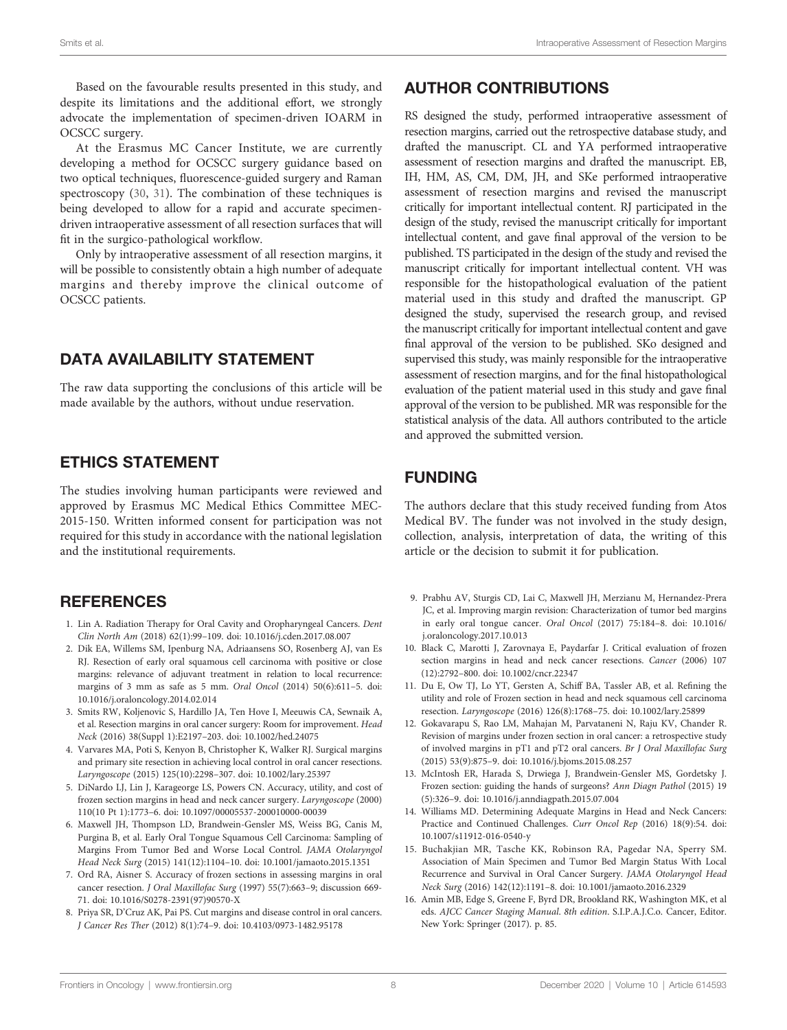<span id="page-7-0"></span>Based on the favourable results presented in this study, and despite its limitations and the additional effort, we strongly advocate the implementation of specimen-driven IOARM in OCSCC surgery.

At the Erasmus MC Cancer Institute, we are currently developing a method for OCSCC surgery guidance based on two optical techniques, fluorescence-guided surgery and Raman spectroscopy [\(30](#page-8-0), [31](#page-8-0)). The combination of these techniques is being developed to allow for a rapid and accurate specimendriven intraoperative assessment of all resection surfaces that will fit in the surgico-pathological workflow.

Only by intraoperative assessment of all resection margins, it will be possible to consistently obtain a high number of adequate margins and thereby improve the clinical outcome of OCSCC patients.

## DATA AVAILABILITY STATEMENT

The raw data supporting the conclusions of this article will be made available by the authors, without undue reservation.

## ETHICS STATEMENT

The studies involving human participants were reviewed and approved by Erasmus MC Medical Ethics Committee MEC-2015-150. Written informed consent for participation was not required for this study in accordance with the national legislation and the institutional requirements.

## **REFERENCES**

- 1. Lin A. Radiation Therapy for Oral Cavity and Oropharyngeal Cancers. Dent Clin North Am (2018) 62(1):99–109. doi: [10.1016/j.cden.2017.08.007](https://doi.org/10.1016/j.cden.2017.08.007)
- 2. Dik EA, Willems SM, Ipenburg NA, Adriaansens SO, Rosenberg AJ, van Es RJ. Resection of early oral squamous cell carcinoma with positive or close margins: relevance of adjuvant treatment in relation to local recurrence: margins of 3 mm as safe as 5 mm. Oral Oncol (2014) 50(6):611–5. doi: [10.1016/j.oraloncology.2014.02.014](https://doi.org/10.1016/j.oraloncology.2014.02.014)
- 3. Smits RW, Koljenovic S, Hardillo JA, Ten Hove I, Meeuwis CA, Sewnaik A, et al. Resection margins in oral cancer surgery: Room for improvement. Head Neck (2016) 38(Suppl 1):E2197–203. doi: [10.1002/hed.24075](https://doi.org/10.1002/hed.24075)
- 4. Varvares MA, Poti S, Kenyon B, Christopher K, Walker RJ. Surgical margins and primary site resection in achieving local control in oral cancer resections. Laryngoscope (2015) 125(10):2298–307. doi: [10.1002/lary.25397](https://doi.org/10.1002/lary.25397)
- 5. DiNardo LJ, Lin J, Karageorge LS, Powers CN. Accuracy, utility, and cost of frozen section margins in head and neck cancer surgery. Laryngoscope (2000) 110(10 Pt 1):1773–6. doi: [10.1097/00005537-200010000-00039](https://doi.org/10.1097/00005537-200010000-00039)
- 6. Maxwell JH, Thompson LD, Brandwein-Gensler MS, Weiss BG, Canis M, Purgina B, et al. Early Oral Tongue Squamous Cell Carcinoma: Sampling of Margins From Tumor Bed and Worse Local Control. JAMA Otolaryngol Head Neck Surg (2015) 141(12):1104–10. doi: [10.1001/jamaoto.2015.1351](https://doi.org/10.1001/jamaoto.2015.1351)
- 7. Ord RA, Aisner S. Accuracy of frozen sections in assessing margins in oral cancer resection. J Oral Maxillofac Surg (1997) 55(7):663–9; discussion 669- 71. doi: [10.1016/S0278-2391\(97\)90570-X](https://doi.org/10.1016/S0278-2391(97)90570-X)
- 8. Priya SR, D'Cruz AK, Pai PS. Cut margins and disease control in oral cancers. J Cancer Res Ther (2012) 8(1):74–9. doi: [10.4103/0973-1482.95178](https://doi.org/10.4103/0973-1482.95178)

# AUTHOR CONTRIBUTIONS

RS designed the study, performed intraoperative assessment of resection margins, carried out the retrospective database study, and drafted the manuscript. CL and YA performed intraoperative assessment of resection margins and drafted the manuscript. EB, IH, HM, AS, CM, DM, JH, and SKe performed intraoperative assessment of resection margins and revised the manuscript critically for important intellectual content. RJ participated in the design of the study, revised the manuscript critically for important intellectual content, and gave final approval of the version to be published. TS participated in the design of the study and revised the manuscript critically for important intellectual content. VH was responsible for the histopathological evaluation of the patient material used in this study and drafted the manuscript. GP designed the study, supervised the research group, and revised the manuscript critically for important intellectual content and gave final approval of the version to be published. SKo designed and supervised this study, was mainly responsible for the intraoperative assessment of resection margins, and for the final histopathological evaluation of the patient material used in this study and gave final approval of the version to be published. MR was responsible for the statistical analysis of the data. All authors contributed to the article and approved the submitted version.

# FUNDING

The authors declare that this study received funding from Atos Medical BV. The funder was not involved in the study design, collection, analysis, interpretation of data, the writing of this article or the decision to submit it for publication.

- 9. Prabhu AV, Sturgis CD, Lai C, Maxwell JH, Merzianu M, Hernandez-Prera JC, et al. Improving margin revision: Characterization of tumor bed margins in early oral tongue cancer. Oral Oncol (2017) 75:184–8. doi: [10.1016/](https://doi.org/10.1016/j.oraloncology.2017.10.013) [j.oraloncology.2017.10.013](https://doi.org/10.1016/j.oraloncology.2017.10.013)
- 10. Black C, Marotti J, Zarovnaya E, Paydarfar J. Critical evaluation of frozen section margins in head and neck cancer resections. Cancer (2006) 107 (12):2792–800. doi: [10.1002/cncr.22347](https://doi.org/10.1002/cncr.22347)
- 11. Du E, Ow TJ, Lo YT, Gersten A, Schiff BA, Tassler AB, et al. Refining the utility and role of Frozen section in head and neck squamous cell carcinoma resection. Laryngoscope (2016) 126(8):1768–75. doi: [10.1002/lary.25899](https://doi.org/10.1002/lary.25899)
- 12. Gokavarapu S, Rao LM, Mahajan M, Parvataneni N, Raju KV, Chander R. Revision of margins under frozen section in oral cancer: a retrospective study of involved margins in pT1 and pT2 oral cancers. Br J Oral Maxillofac Surg (2015) 53(9):875–9. doi: [10.1016/j.bjoms.2015.08.257](https://doi.org/10.1016/j.bjoms.2015.08.257)
- 13. McIntosh ER, Harada S, Drwiega J, Brandwein-Gensler MS, Gordetsky J. Frozen section: guiding the hands of surgeons? Ann Diagn Pathol (2015) 19 (5):326–9. doi: [10.1016/j.anndiagpath.2015.07.004](https://doi.org/10.1016/j.anndiagpath.2015.07.004)
- 14. Williams MD. Determining Adequate Margins in Head and Neck Cancers: Practice and Continued Challenges. Curr Oncol Rep (2016) 18(9):54. doi: [10.1007/s11912-016-0540-y](https://doi.org/10.1007/s11912-016-0540-y)
- 15. Buchakjian MR, Tasche KK, Robinson RA, Pagedar NA, Sperry SM. Association of Main Specimen and Tumor Bed Margin Status With Local Recurrence and Survival in Oral Cancer Surgery. JAMA Otolaryngol Head Neck Surg (2016) 142(12):1191–8. doi: [10.1001/jamaoto.2016.2329](https://doi.org/10.1001/jamaoto.2016.2329)
- 16. Amin MB, Edge S, Greene F, Byrd DR, Brookland RK, Washington MK, et al eds. AJCC Cancer Staging Manual. 8th edition. S.I.P.A.J.C.o. Cancer, Editor. New York: Springer (2017). p. 85.